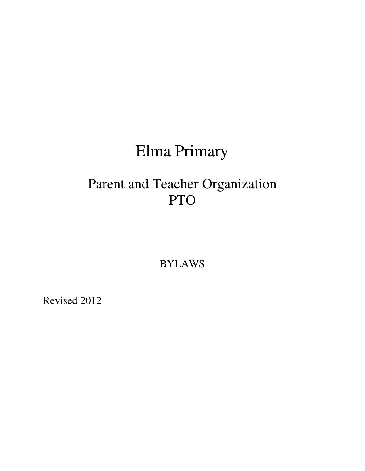# Elma Primary

# Parent and Teacher Organization PTO

BYLAWS

Revised 2012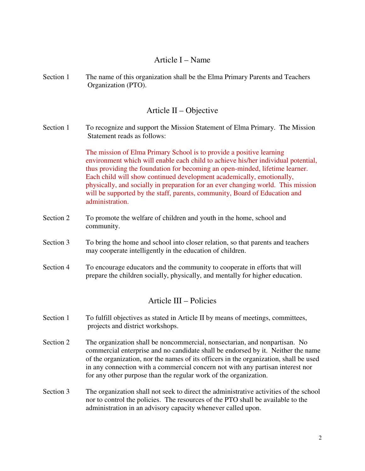### Article I – Name

Section 1 The name of this organization shall be the Elma Primary Parents and Teachers Organization (PTO).

# Article II – Objective

Section 1 To recognize and support the Mission Statement of Elma Primary. The Mission Statement reads as follows:

> The mission of Elma Primary School is to provide a positive learning environment which will enable each child to achieve his/her individual potential, thus providing the foundation for becoming an open-minded, lifetime learner. Each child will show continued development academically, emotionally, physically, and socially in preparation for an ever changing world. This mission will be supported by the staff, parents, community, Board of Education and administration.

- Section 2 To promote the welfare of children and youth in the home, school and community.
- Section 3 To bring the home and school into closer relation, so that parents and teachers may cooperate intelligently in the education of children.
- Section 4 To encourage educators and the community to cooperate in efforts that will prepare the children socially, physically, and mentally for higher education.

# Article III – Policies

- Section 1 To fulfill objectives as stated in Article II by means of meetings, committees, projects and district workshops.
- Section 2 The organization shall be noncommercial, nonsectarian, and nonpartisan. No commercial enterprise and no candidate shall be endorsed by it. Neither the name of the organization, nor the names of its officers in the organization, shall be used in any connection with a commercial concern not with any partisan interest nor for any other purpose than the regular work of the organization.
- Section 3 The organization shall not seek to direct the administrative activities of the school nor to control the policies. The resources of the PTO shall be available to the administration in an advisory capacity whenever called upon.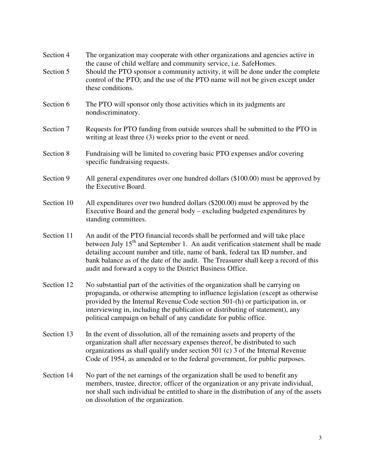| Section 4<br>Section 5 | The organization may cooperate with other organizations and agencies active in<br>the cause of child welfare and community service, <i>i.e.</i> SafeHomes.<br>Should the PTO sponsor a community activity, it will be done under the complete                                                                                                                                                                    |
|------------------------|------------------------------------------------------------------------------------------------------------------------------------------------------------------------------------------------------------------------------------------------------------------------------------------------------------------------------------------------------------------------------------------------------------------|
|                        | control of the PTO; and the use of the PTO name will not be given except under<br>these conditions.                                                                                                                                                                                                                                                                                                              |
| Section 6              | The PTO will sponsor only those activities which in its judgments are<br>nondiscriminatory.                                                                                                                                                                                                                                                                                                                      |
| Section 7              | Requests for PTO funding from outside sources shall be submitted to the PTO in<br>writing at least three (3) weeks prior to the event or need.                                                                                                                                                                                                                                                                   |
| Section 8              | Fundraising will be limited to covering basic PTO expenses and/or covering<br>specific fundraising requests.                                                                                                                                                                                                                                                                                                     |
| Section 9              | All general expenditures over one hundred dollars (\$100.00) must be approved by<br>the Executive Board.                                                                                                                                                                                                                                                                                                         |
| Section 10             | All expenditures over two hundred dollars (\$200.00) must be approved by the<br>Executive Board and the general body – excluding budgeted expenditures by<br>standing committees.                                                                                                                                                                                                                                |
| Section 11             | An audit of the PTO financial records shall be performed and will take place<br>between July 15 <sup>th</sup> and September 1. An audit verification statement shall be made<br>detailing account number and title, name of bank, federal tax ID number, and<br>bank balance as of the date of the audit. The Treasurer shall keep a record of this<br>audit and forward a copy to the District Business Office. |
| Section 12             | No substantial part of the activities of the organization shall be carrying on<br>propaganda, or otherwise attempting to influence legislation (except as otherwise<br>provided by the Internal Revenue Code section 501-(h) or participation in, or<br>interviewing in, including the publication or distributing of statement), any<br>political campaign on behalf of any candidate for public office.        |
| Section 13             | In the event of dissolution, all of the remaining assets and property of the<br>organization shall after necessary expenses thereof, be distributed to such<br>organizations as shall qualify under section 501 (c) 3 of the Internal Revenue<br>Code of 1954, as amended or to the federal government, for public purposes.                                                                                     |
| Section 14             | No part of the net earnings of the organization shall be used to benefit any<br>members, trustee, director, officer of the organization or any private individual,<br>nor shall such individual be entitled to share in the distribution of any of the assets<br>on dissolution of the organization.                                                                                                             |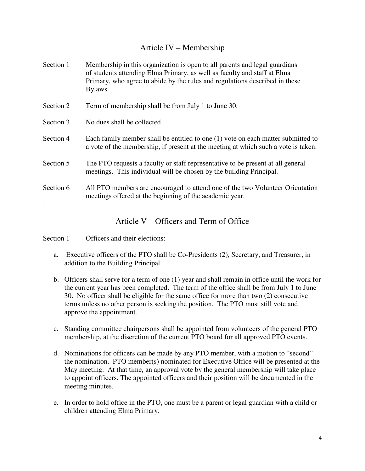# Article IV – Membership

| Section 1 | Membership in this organization is open to all parents and legal guardians<br>of students attending Elma Primary, as well as faculty and staff at Elma<br>Primary, who agree to abide by the rules and regulations described in these<br>Bylaws. |
|-----------|--------------------------------------------------------------------------------------------------------------------------------------------------------------------------------------------------------------------------------------------------|
| Section 2 | Term of membership shall be from July 1 to June 30.                                                                                                                                                                                              |
| Section 3 | No dues shall be collected.                                                                                                                                                                                                                      |
| Section 4 | Each family member shall be entitled to one (1) vote on each matter submitted to<br>a vote of the membership, if present at the meeting at which such a vote is taken.                                                                           |
| Section 5 | The PTO requests a faculty or staff representative to be present at all general<br>meetings. This individual will be chosen by the building Principal.                                                                                           |
| Section 6 | All PTO members are encouraged to attend one of the two Volunteer Orientation<br>meetings offered at the beginning of the academic year.                                                                                                         |
|           |                                                                                                                                                                                                                                                  |

Article V – Officers and Term of Office

Section 1 Officers and their elections:

- a. Executive officers of the PTO shall be Co-Presidents (2), Secretary, and Treasurer, in addition to the Building Principal.
- b. Officers shall serve for a term of one (1) year and shall remain in office until the work for the current year has been completed. The term of the office shall be from July 1 to June 30. No officer shall be eligible for the same office for more than two (2) consecutive terms unless no other person is seeking the position. The PTO must still vote and approve the appointment.
- c. Standing committee chairpersons shall be appointed from volunteers of the general PTO membership, at the discretion of the current PTO board for all approved PTO events.
- d. Nominations for officers can be made by any PTO member, with a motion to "second" the nomination. PTO member(s) nominated for Executive Office will be presented at the May meeting. At that time, an approval vote by the general membership will take place to appoint officers. The appointed officers and their position will be documented in the meeting minutes.
- e. In order to hold office in the PTO, one must be a parent or legal guardian with a child or children attending Elma Primary.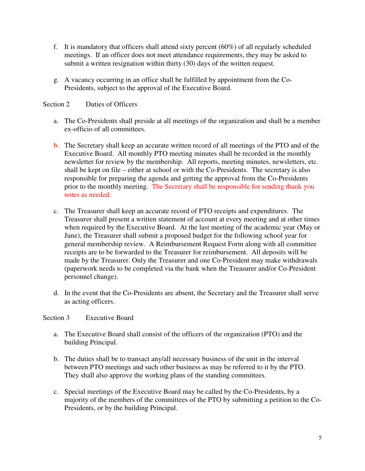- f. It is mandatory that officers shall attend sixty percent  $(60\%)$  of all regularly scheduled meetings. If an officer does not meet attendance requirements, they may be asked to submit a written resignation within thirty (30) days of the written request.
- g. A vacancy occurring in an office shall be fulfilled by appointment from the Co-Presidents, subject to the approval of the Executive Board.

#### Section 2 Duties of Officers

- a. The Co-Presidents shall preside at all meetings of the organization and shall be a member ex-officio of all committees.
- b. The Secretary shall keep an accurate written record of all meetings of the PTO and of the Executive Board. All monthly PTO meeting minutes shall be recorded in the monthly newsletter for review by the membership. All reports, meeting minutes, newsletters, etc. shall be kept on file – either at school or with the Co-Presidents. The secretary is also responsible for preparing the agenda and getting the approval from the Co-Presidents prior to the monthly meeting. The Secretary shall be responsible for sending thank you notes as needed.
- c. The Treasurer shall keep an accurate record of PTO receipts and expenditures. The Treasurer shall present a written statement of account at every meeting and at other times when required by the Executive Board. At the last meeting of the academic year (May or June), the Treasurer shall submit a proposed budget for the following school year for general membership review. A Reimbursement Request Form along with all committee receipts are to be forwarded to the Treasurer for reimbursement. All deposits will be made by the Treasurer. Only the Treasurer and one Co-President may make withdrawals (paperwork needs to be completed via the bank when the Treasurer and/or Co-President personnel change).
- d. In the event that the Co-Presidents are absent, the Secretary and the Treasurer shall serve as acting officers.

#### Section 3 Executive Board

- a. The Executive Board shall consist of the officers of the organization (PTO) and the building Principal.
- b. The duties shall be to transact any/all necessary business of the unit in the interval between PTO meetings and such other business as may be referred to it by the PTO. They shall also approve the working plans of the standing committees.
- c. Special meetings of the Executive Board may be called by the Co-Presidents, by a majority of the members of the committees of the PTO by submitting a petition to the Co-Presidents, or by the building Principal.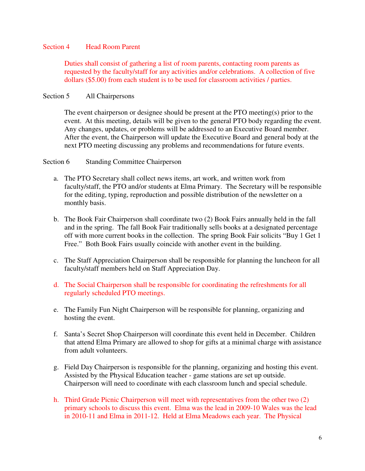#### Section 4 Head Room Parent

Duties shall consist of gathering a list of room parents, contacting room parents as requested by the faculty/staff for any activities and/or celebrations. A collection of five dollars (\$5.00) from each student is to be used for classroom activities / parties.

#### Section 5 All Chairpersons

The event chairperson or designee should be present at the PTO meeting(s) prior to the event. At this meeting, details will be given to the general PTO body regarding the event. Any changes, updates, or problems will be addressed to an Executive Board member. After the event, the Chairperson will update the Executive Board and general body at the next PTO meeting discussing any problems and recommendations for future events.

#### Section 6 Standing Committee Chairperson

- a. The PTO Secretary shall collect news items, art work, and written work from faculty/staff, the PTO and/or students at Elma Primary. The Secretary will be responsible for the editing, typing, reproduction and possible distribution of the newsletter on a monthly basis.
- b. The Book Fair Chairperson shall coordinate two (2) Book Fairs annually held in the fall and in the spring. The fall Book Fair traditionally sells books at a designated percentage off with more current books in the collection. The spring Book Fair solicits "Buy 1 Get 1 Free." Both Book Fairs usually coincide with another event in the building.
- c. The Staff Appreciation Chairperson shall be responsible for planning the luncheon for all faculty/staff members held on Staff Appreciation Day.
- d. The Social Chairperson shall be responsible for coordinating the refreshments for all regularly scheduled PTO meetings.
- e. The Family Fun Night Chairperson will be responsible for planning, organizing and hosting the event.
- f. Santa's Secret Shop Chairperson will coordinate this event held in December. Children that attend Elma Primary are allowed to shop for gifts at a minimal charge with assistance from adult volunteers.
- g. Field Day Chairperson is responsible for the planning, organizing and hosting this event. Assisted by the Physical Education teacher - game stations are set up outside. Chairperson will need to coordinate with each classroom lunch and special schedule.
- h. Third Grade Picnic Chairperson will meet with representatives from the other two (2) primary schools to discuss this event. Elma was the lead in 2009-10 Wales was the lead in 2010-11 and Elma in 2011-12. Held at Elma Meadows each year. The Physical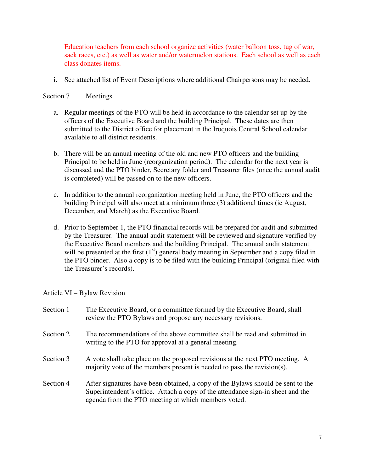Education teachers from each school organize activities (water balloon toss, tug of war, sack races, etc.) as well as water and/or watermelon stations. Each school as well as each class donates items.

i. See attached list of Event Descriptions where additional Chairpersons may be needed.

#### Section 7 Meetings

- a. Regular meetings of the PTO will be held in accordance to the calendar set up by the officers of the Executive Board and the building Principal. These dates are then submitted to the District office for placement in the Iroquois Central School calendar available to all district residents.
- b. There will be an annual meeting of the old and new PTO officers and the building Principal to be held in June (reorganization period). The calendar for the next year is discussed and the PTO binder, Secretary folder and Treasurer files (once the annual audit is completed) will be passed on to the new officers.
- c. In addition to the annual reorganization meeting held in June, the PTO officers and the building Principal will also meet at a minimum three (3) additional times (ie August, December, and March) as the Executive Board.
- d. Prior to September 1, the PTO financial records will be prepared for audit and submitted by the Treasurer. The annual audit statement will be reviewed and signature verified by the Executive Board members and the building Principal. The annual audit statement will be presented at the first  $(1<sup>st</sup>)$  general body meeting in September and a copy filed in the PTO binder. Also a copy is to be filed with the building Principal (original filed with the Treasurer's records).

Article VI – Bylaw Revision

| Section 1 | The Executive Board, or a committee formed by the Executive Board, shall<br>review the PTO Bylaws and propose any necessary revisions.                                                                                   |
|-----------|--------------------------------------------------------------------------------------------------------------------------------------------------------------------------------------------------------------------------|
| Section 2 | The recommendations of the above committee shall be read and submitted in<br>writing to the PTO for approval at a general meeting.                                                                                       |
| Section 3 | A vote shall take place on the proposed revisions at the next PTO meeting. A<br>majority vote of the members present is needed to pass the revision(s).                                                                  |
| Section 4 | After signatures have been obtained, a copy of the Bylaws should be sent to the<br>Superintendent's office. Attach a copy of the attendance sign-in sheet and the<br>agenda from the PTO meeting at which members voted. |